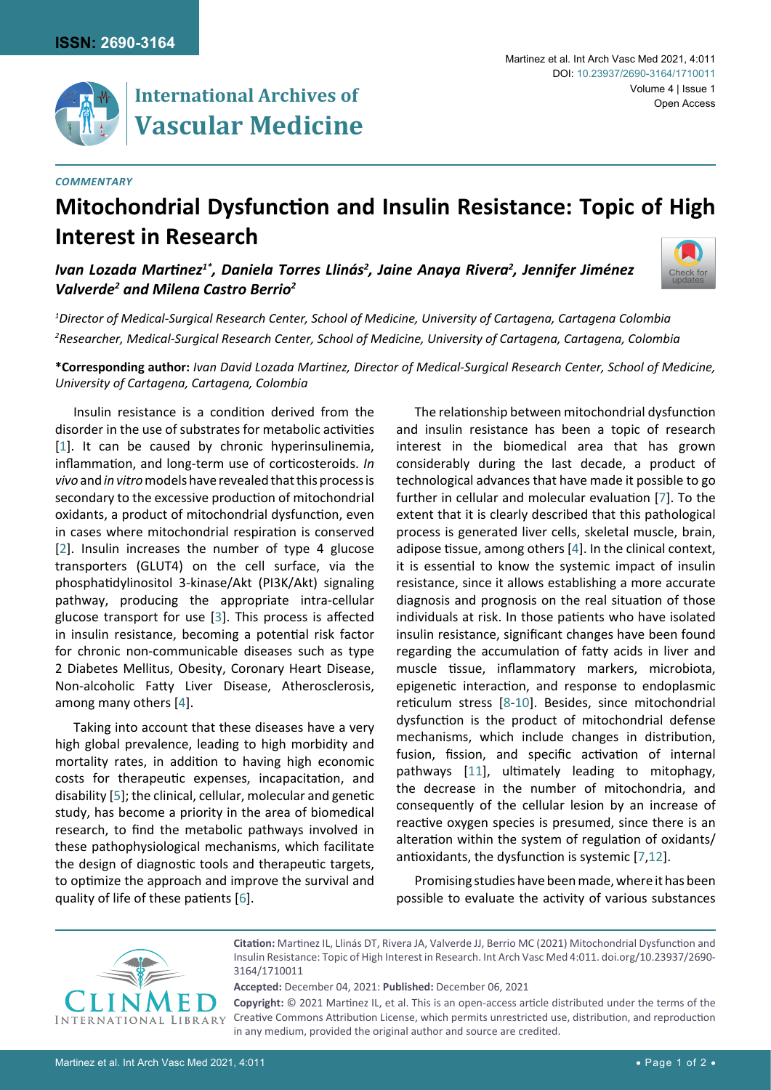

# **International Archives of**  $\frac{\text{Volume } 4 \mid \text{Isuse } 1}{\text{Open Access}}$ **Vascular Medicine**

#### *Commentary*

# **Mitochondrial Dysfunction and Insulin Resistance: Topic of High Interest in Research**

*Ivan Lozada Martinez1\*, Daniela Torres Llinás<sup>2</sup> , Jaine Anaya Rivera<sup>2</sup> , Jennifer Jiménez Valverde<sup>2</sup> and Milena Castro Berrio<sup>2</sup>*



*1 Director of Medical-Surgical Research Center, School of Medicine, University of Cartagena, Cartagena Colombia 2 Researcher, Medical-Surgical Research Center, School of Medicine, University of Cartagena, Cartagena, Colombia*

**\*Corresponding author:** *Ivan David Lozada Martinez, Director of Medical-Surgical Research Center, School of Medicine, University of Cartagena, Cartagena, Colombia*

Insulin resistance is a condition derived from the disorder in the use of substrates for metabolic activities [[1](#page-1-6)]. It can be caused by chronic hyperinsulinemia, inflammation, and long-term use of corticosteroids. *In vivo* and *in vitro* models have revealed that this process is secondary to the excessive production of mitochondrial oxidants, a product of mitochondrial dysfunction, even in cases where mitochondrial respiration is conserved [[2](#page-1-7)]. Insulin increases the number of type 4 glucose transporters (GLUT4) on the cell surface, via the phosphatidylinositol 3-kinase/Akt (PI3K/Akt) signaling pathway, producing the appropriate intra-cellular glucose transport for use [[3](#page-1-8)]. This process is affected in insulin resistance, becoming a potential risk factor for chronic non-communicable diseases such as type 2 Diabetes Mellitus, Obesity, Coronary Heart Disease, Non-alcoholic Fatty Liver Disease, Atherosclerosis, among many others [[4](#page-1-1)].

Taking into account that these diseases have a very high global prevalence, leading to high morbidity and mortality rates, in addition to having high economic costs for therapeutic expenses, incapacitation, and disability [[5](#page-1-9)]; the clinical, cellular, molecular and genetic study, has become a priority in the area of biomedical research, to find the metabolic pathways involved in these pathophysiological mechanisms, which facilitate the design of diagnostic tools and therapeutic targets, to optimize the approach and improve the survival and quality of life of these patients [[6](#page-1-10)].

The relationship between mitochondrial dysfunction and insulin resistance has been a topic of research interest in the biomedical area that has grown considerably during the last decade, a product of technological advances that have made it possible to go further in cellular and molecular evaluation [[7](#page-1-0)]. To the extent that it is clearly described that this pathological process is generated liver cells, skeletal muscle, brain, adipose tissue, among others [[4](#page-1-1)]. In the clinical context, it is essential to know the systemic impact of insulin resistance, since it allows establishing a more accurate diagnosis and prognosis on the real situation of those individuals at risk. In those patients who have isolated insulin resistance, significant changes have been found regarding the accumulation of fatty acids in liver and muscle tissue, inflammatory markers, microbiota, epigenetic interaction, and response to endoplasmic reticulum stress [[8](#page-1-2)-[10](#page-1-3)]. Besides, since mitochondrial dysfunction is the product of mitochondrial defense mechanisms, which include changes in distribution, fusion, fission, and specific activation of internal pathways [[11](#page-1-4)], ultimately leading to mitophagy, the decrease in the number of mitochondria, and consequently of the cellular lesion by an increase of reactive oxygen species is presumed, since there is an alteration within the system of regulation of oxidants/ antioxidants, the dysfunction is systemic [[7](#page-1-0),[12](#page-1-5)].

Promising studies have been made, where it has been possible to evaluate the activity of various substances



**Citation:** Martinez IL, Llinás DT, Rivera JA, Valverde JJ, Berrio MC (2021) Mitochondrial Dysfunction and Insulin Resistance: Topic of High Interest in Research. Int Arch Vasc Med 4:011. [doi.org/10.23937/2690-](https://doi.org/10.23937/2690-3164/1710011) [3164/1710011](https://doi.org/10.23937/2690-3164/1710011)

**Accepted:** December 04, 2021: **Published:** December 06, 2021

**Copyright:** © 2021 Martinez IL, et al. This is an open-access article distributed under the terms of the Creative Commons Attribution License, which permits unrestricted use, distribution, and reproduction in any medium, provided the original author and source are credited.